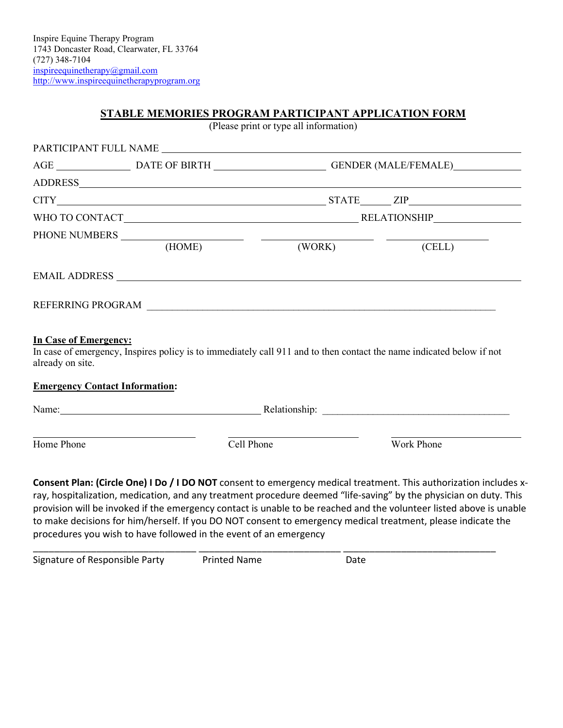# **STABLE MEMORIES PROGRAM PARTICIPANT APPLICATION FORM**

(Please print or type all information)

|                                                  |                                       |                   | AGE _________________________DATE OF BIRTH __________________________GENDER (MALE/FEMALE)____________________                                                                                                                  |  |
|--------------------------------------------------|---------------------------------------|-------------------|--------------------------------------------------------------------------------------------------------------------------------------------------------------------------------------------------------------------------------|--|
|                                                  |                                       |                   |                                                                                                                                                                                                                                |  |
|                                                  |                                       |                   | $CITY$ $ZIP$                                                                                                                                                                                                                   |  |
|                                                  |                                       |                   |                                                                                                                                                                                                                                |  |
|                                                  |                                       |                   |                                                                                                                                                                                                                                |  |
|                                                  | (HOME)                                |                   | (WORK) (CELL)                                                                                                                                                                                                                  |  |
|                                                  |                                       |                   |                                                                                                                                                                                                                                |  |
|                                                  |                                       |                   |                                                                                                                                                                                                                                |  |
|                                                  |                                       | REFERRING PROGRAM |                                                                                                                                                                                                                                |  |
|                                                  |                                       |                   | In case of emergency, Inspires policy is to immediately call 911 and to then contact the name indicated below if not                                                                                                           |  |
| <b>In Case of Emergency:</b><br>already on site. | <b>Emergency Contact Information:</b> |                   |                                                                                                                                                                                                                                |  |
|                                                  |                                       |                   | Name: Name: Name: Name: Network of the Contract of the Contract of the Relationship: Name: Name of the Contract of the Contract of the Contract of the Contract of the Contract of the Contract of the Contract of the Contrac |  |

provision will be invoked if the emergency contact is unable to be reached and the volunteer listed above is unable to make decisions for him/herself. If you DO NOT consent to emergency medical treatment, please indicate the procedures you wish to have followed in the event of an emergency

| Signature of Responsible Party | <b>Printed Name</b> | Date |
|--------------------------------|---------------------|------|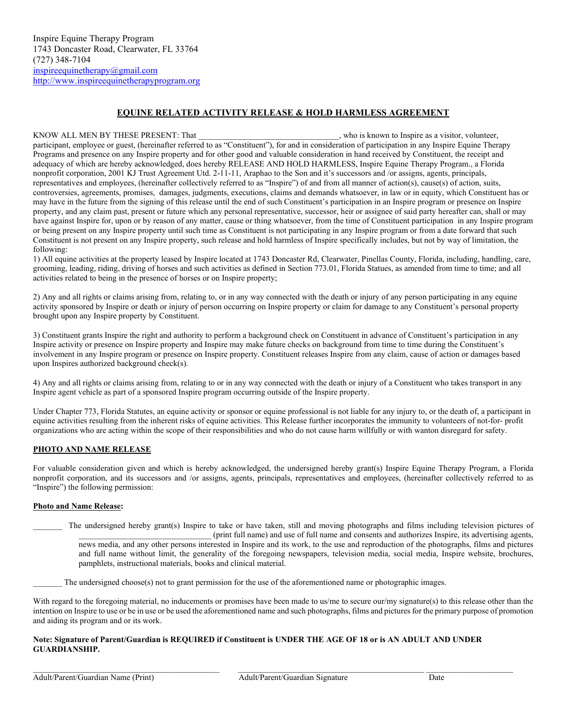### **EQUINE RELATED ACTIVITY RELEASE & HOLD HARMLESS AGREEMENT**

KNOW ALL MEN BY THESE PRESENT: That  $\blacksquare$ , who is known to Inspire as a visitor, volunteer, participant, employee or guest, (hereinafter referred to as "Constituent"), for and in consideration of participation in any Inspire Equine Therapy Programs and presence on any Inspire property and for other good and valuable consideration in hand received by Constituent, the receipt and adequacy of which are hereby acknowledged, does hereby RELEASE AND HOLD HARMLESS, Inspire Equine Therapy Program., a Florida nonprofit corporation, 2001 KJ Trust Agreement Utd. 2-11-11, Araphao to the Son and it's successors and /or assigns, agents, principals, representatives and employees, (hereinafter collectively referred to as "Inspire") of and from all manner of action(s), cause(s) of action, suits, controversies, agreements, promises, damages, judgments, executions, claims and demands whatsoever, in law or in equity, which Constituent has or may have in the future from the signing of this release until the end of such Constituent's participation in an Inspire program or presence on Inspire property, and any claim past, present or future which any personal representative, successor, heir or assignee of said party hereafter can, shall or may have against Inspire for, upon or by reason of any matter, cause or thing whatsoever, from the time of Constituent participation in any Inspire program or being present on any Inspire property until such time as Constituent is not participating in any Inspire program or from a date forward that such Constituent is not present on any Inspire property, such release and hold harmless of Inspire specifically includes, but not by way of limitation, the following:

1) All equine activities at the property leased by Inspire located at 1743 Doncaster Rd, Clearwater, Pinellas County, Florida, including, handling, care, grooming, leading, riding, driving of horses and such activities as defined in Section 773.01, Florida Statues, as amended from time to time; and all activities related to being in the presence of horses or on Inspire property;

2) Any and all rights or claims arising from, relating to, or in any way connected with the death or injury of any person participating in any equine activity sponsored by Inspire or death or injury of person occurring on Inspire property or claim for damage to any Constituent's personal property brought upon any Inspire property by Constituent.

3) Constituent grants Inspire the right and authority to perform a background check on Constituent in advance of Constituent's participation in any Inspire activity or presence on Inspire property and Inspire may make future checks on background from time to time during the Constituent's involvement in any Inspire program or presence on Inspire property. Constituent releases Inspire from any claim, cause of action or damages based upon Inspires authorized background check(s).

4) Any and all rights or claims arising from, relating to or in any way connected with the death or injury of a Constituent who takes transport in any Inspire agent vehicle as part of a sponsored Inspire program occurring outside of the Inspire property.

Under Chapter 773, Florida Statutes, an equine activity or sponsor or equine professional is not liable for any injury to, or the death of, a participant in equine activities resulting from the inherent risks of equine activities. This Release further incorporates the immunity to volunteers of not-for- profit organizations who are acting within the scope of their responsibilities and who do not cause harm willfully or with wanton disregard for safety.

#### **PHOTO AND NAME RELEASE**

For valuable consideration given and which is hereby acknowledged, the undersigned hereby grant(s) Inspire Equine Therapy Program, a Florida nonprofit corporation, and its successors and /or assigns, agents, principals, representatives and employees, (hereinafter collectively referred to as "Inspire") the following permission:

#### **Photo and Name Release:**

The undersigned hereby grant(s) Inspire to take or have taken, still and moving photographs and films including television pictures of \_\_\_\_\_\_\_\_\_\_\_\_\_\_\_\_\_\_\_\_\_\_\_\_\_\_\_\_\_\_\_\_ (print full name) and use of full name and consents and authorizes Inspire, its advertising agents, news media, and any other persons interested in Inspire and its work, to the use and reproduction of the photographs, films and pictures and full name without limit, the generality of the foregoing newspapers, television media, social media, Inspire website, brochures, pamphlets, instructional materials, books and clinical material.

The undersigned choose(s) not to grant permission for the use of the aforementioned name or photographic images.

With regard to the foregoing material, no inducements or promises have been made to us/me to secure our/my signature(s) to this release other than the intention on Inspire to use or be in use or be used the aforementioned name and such photographs, films and pictures for the primary purpose of promotion and aiding its program and or its work.

#### **Note: Signature of Parent/Guardian is REQUIRED if Constituent is UNDER THE AGE OF 18 or is AN ADULT AND UNDER GUARDIANSHIP.**

 $\_$  , and the state of the state of the state of the state of the state of the state of the state of the state of the state of the state of the state of the state of the state of the state of the state of the state of the